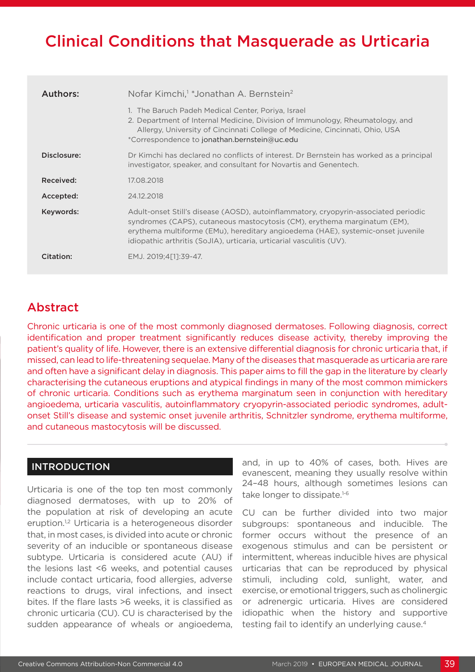# Clinical Conditions that Masquerade as Urticaria

| Authors:    | Nofar Kimchi, <sup>1</sup> *Jonathan A. Bernstein <sup>2</sup>                                                                                                                                                                                                                                                             |  |  |  |
|-------------|----------------------------------------------------------------------------------------------------------------------------------------------------------------------------------------------------------------------------------------------------------------------------------------------------------------------------|--|--|--|
|             | 1. The Baruch Padeh Medical Center, Poriya, Israel<br>2. Department of Internal Medicine, Division of Immunology, Rheumatology, and<br>Allergy, University of Cincinnati College of Medicine, Cincinnati, Ohio, USA<br>*Correspondence to jonathan.bernstein@uc.edu                                                        |  |  |  |
| Disclosure: | Dr Kimchi has declared no conflicts of interest. Dr Bernstein has worked as a principal<br>investigator, speaker, and consultant for Novartis and Genentech.                                                                                                                                                               |  |  |  |
| Received:   | 17.08.2018                                                                                                                                                                                                                                                                                                                 |  |  |  |
| Accepted:   | 24.12.2018                                                                                                                                                                                                                                                                                                                 |  |  |  |
| Keywords:   | Adult-onset Still's disease (AOSD), autoinflammatory, cryopyrin-associated periodic<br>syndromes (CAPS), cutaneous mastocytosis (CM), erythema marginatum (EM),<br>erythema multiforme (EMu), hereditary angioedema (HAE), systemic-onset juvenile<br>idiopathic arthritis (SoJIA), urticaria, urticarial vasculitis (UV). |  |  |  |
| Citation:   | EMJ. 2019:4[11:39-47.                                                                                                                                                                                                                                                                                                      |  |  |  |

# Abstract

Chronic urticaria is one of the most commonly diagnosed dermatoses. Following diagnosis, correct identification and proper treatment significantly reduces disease activity, thereby improving the patient's quality of life. However, there is an extensive differential diagnosis for chronic urticaria that, if missed, can lead to life-threatening sequelae. Many of the diseases that masquerade as urticaria are rare and often have a significant delay in diagnosis. This paper aims to fill the gap in the literature by clearly characterising the cutaneous eruptions and atypical findings in many of the most common mimickers of chronic urticaria. Conditions such as erythema marginatum seen in conjunction with hereditary angioedema, urticaria vasculitis, autoinflammatory cryopyrin-associated periodic syndromes, adultonset Still's disease and systemic onset juvenile arthritis, Schnitzler syndrome, erythema multiforme, and cutaneous mastocytosis will be discussed.

## **INTRODUCTION**

Urticaria is one of the top ten most commonly diagnosed dermatoses, with up to 20% of the population at risk of developing an acute eruption.<sup>1,2</sup> Urticaria is a heterogeneous disorder that, in most cases, is divided into acute or chronic severity of an inducible or spontaneous disease subtype. Urticaria is considered acute (AU) if the lesions last <6 weeks, and potential causes include contact urticaria, food allergies, adverse reactions to drugs, viral infections, and insect bites. If the flare lasts >6 weeks, it is classified as chronic urticaria (CU). CU is characterised by the sudden appearance of wheals or angioedema,

and, in up to 40% of cases, both. Hives are evanescent, meaning they usually resolve within 24–48 hours, although sometimes lesions can take longer to dissipate.<sup>1-6</sup>

CU can be further divided into two major subgroups: spontaneous and inducible. The former occurs without the presence of an exogenous stimulus and can be persistent or intermittent, whereas inducible hives are physical urticarias that can be reproduced by physical stimuli, including cold, sunlight, water, and exercise, or emotional triggers, such as cholinergic or adrenergic urticaria. Hives are considered idiopathic when the history and supportive testing fail to identify an underlying cause.<sup>4</sup>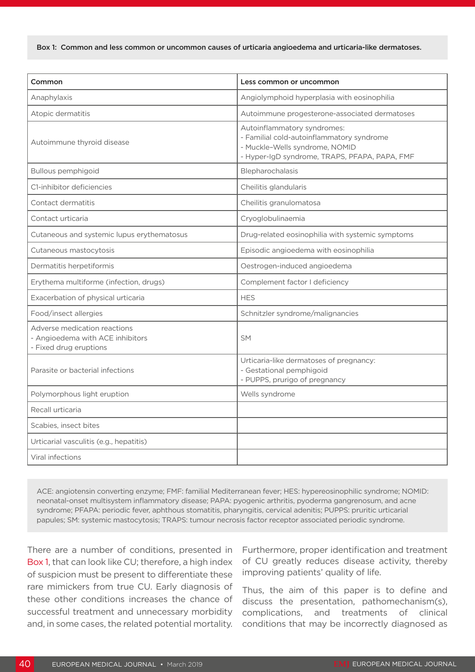Box 1: Common and less common or uncommon causes of urticaria angioedema and urticaria-like dermatoses.

| Common                                                                                     | Less common or uncommon                                                                                                                                     |  |  |  |
|--------------------------------------------------------------------------------------------|-------------------------------------------------------------------------------------------------------------------------------------------------------------|--|--|--|
| Anaphylaxis                                                                                | Angiolymphoid hyperplasia with eosinophilia                                                                                                                 |  |  |  |
| Atopic dermatitis                                                                          | Autoimmune progesterone-associated dermatoses                                                                                                               |  |  |  |
| Autoimmune thyroid disease                                                                 | Autoinflammatory syndromes:<br>- Familial cold-autoinflammatory syndrome<br>- Muckle-Wells syndrome, NOMID<br>- Hyper-IgD syndrome, TRAPS, PFAPA, PAPA, FMF |  |  |  |
| Bullous pemphigoid                                                                         | Blepharochalasis                                                                                                                                            |  |  |  |
| C1-inhibitor deficiencies                                                                  | Cheilitis glandularis                                                                                                                                       |  |  |  |
| Contact dermatitis                                                                         | Cheilitis granulomatosa                                                                                                                                     |  |  |  |
| Contact urticaria                                                                          | Cryoglobulinaemia                                                                                                                                           |  |  |  |
| Cutaneous and systemic lupus erythematosus                                                 | Drug-related eosinophilia with systemic symptoms                                                                                                            |  |  |  |
| Cutaneous mastocytosis                                                                     | Episodic angioedema with eosinophilia                                                                                                                       |  |  |  |
| Dermatitis herpetiformis                                                                   | Oestrogen-induced angioedema                                                                                                                                |  |  |  |
| Erythema multiforme (infection, drugs)                                                     | Complement factor I deficiency                                                                                                                              |  |  |  |
| Exacerbation of physical urticaria                                                         | <b>HES</b>                                                                                                                                                  |  |  |  |
| Food/insect allergies                                                                      | Schnitzler syndrome/malignancies                                                                                                                            |  |  |  |
| Adverse medication reactions<br>- Angioedema with ACE inhibitors<br>- Fixed drug eruptions | <b>SM</b>                                                                                                                                                   |  |  |  |
| Parasite or bacterial infections                                                           | Urticaria-like dermatoses of pregnancy:<br>- Gestational pemphigoid<br>- PUPPS, prurigo of pregnancy                                                        |  |  |  |
| Polymorphous light eruption                                                                | Wells syndrome                                                                                                                                              |  |  |  |
| Recall urticaria                                                                           |                                                                                                                                                             |  |  |  |
| Scabies, insect bites                                                                      |                                                                                                                                                             |  |  |  |
| Urticarial vasculitis (e.g., hepatitis)                                                    |                                                                                                                                                             |  |  |  |
| Viral infections                                                                           |                                                                                                                                                             |  |  |  |

ACE: angiotensin converting enzyme; FMF: familial Mediterranean fever; HES: hypereosinophilic syndrome; NOMID: neonatal-onset multisystem inflammatory disease; PAPA: pyogenic arthritis, pyoderma gangrenosum, and acne syndrome; PFAPA: periodic fever, aphthous stomatitis, pharyngitis, cervical adenitis; PUPPS: pruritic urticarial papules; SM: systemic mastocytosis; TRAPS: tumour necrosis factor receptor associated periodic syndrome.

There are a number of conditions, presented in Box 1, that can look like CU; therefore, a high index of suspicion must be present to differentiate these rare mimickers from true CU. Early diagnosis of these other conditions increases the chance of successful treatment and unnecessary morbidity and, in some cases, the related potential mortality. Furthermore, proper identification and treatment of CU greatly reduces disease activity, thereby improving patients' quality of life.

Thus, the aim of this paper is to define and discuss the presentation, pathomechanism(s), complications, and treatments of clinical conditions that may be incorrectly diagnosed as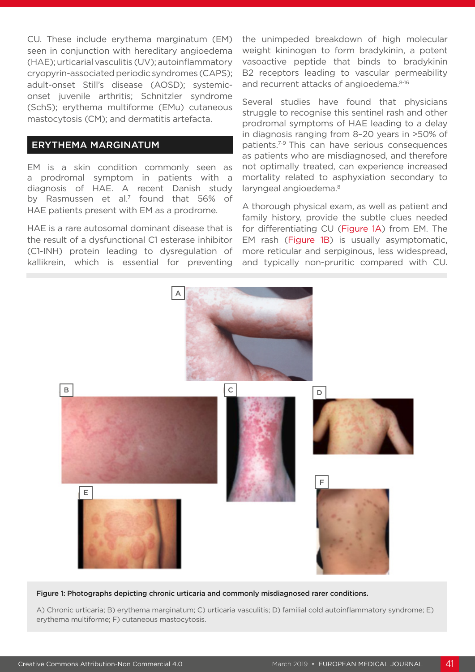CU. These include erythema marginatum (EM) seen in conjunction with hereditary angioedema (HAE); urticarial vasculitis (UV); autoinflammatory cryopyrin-associated periodic syndromes (CAPS); adult-onset Still's disease (AOSD); systemiconset juvenile arthritis; Schnitzler syndrome (SchS); erythema multiforme (EMu) cutaneous mastocytosis (CM); and dermatitis artefacta.

### ERYTHEMA MARGINATUM

EM is a skin condition commonly seen as a prodromal symptom in patients with a diagnosis of HAE. A recent Danish study by Rasmussen et al.7 found that 56% of HAE patients present with EM as a prodrome.

HAE is a rare autosomal dominant disease that is the result of a dysfunctional C1 esterase inhibitor (C1-INH) protein leading to dysregulation of kallikrein, which is essential for preventing the unimpeded breakdown of high molecular weight kininogen to form bradykinin, a potent vasoactive peptide that binds to bradykinin B2 receptors leading to vascular permeability and recurrent attacks of angioedema.<sup>8-16</sup>

Several studies have found that physicians struggle to recognise this sentinel rash and other prodromal symptoms of HAE leading to a delay in diagnosis ranging from 8–20 years in >50% of patients.7-9 This can have serious consequences as patients who are misdiagnosed, and therefore not optimally treated, can experience increased mortality related to asphyxiation secondary to laryngeal angioedema.<sup>8</sup>

A thorough physical exam, as well as patient and family history, provide the subtle clues needed for differentiating CU (Figure 1A) from EM. The EM rash (Figure 1B) is usually asymptomatic, more reticular and serpiginous, less widespread, and typically non-pruritic compared with CU.



#### Figure 1: Photographs depicting chronic urticaria and commonly misdiagnosed rarer conditions.

A) Chronic urticaria; B) erythema marginatum; C) urticaria vasculitis; D) familial cold autoinflammatory syndrome; E) erythema multiforme; F) cutaneous mastocytosis.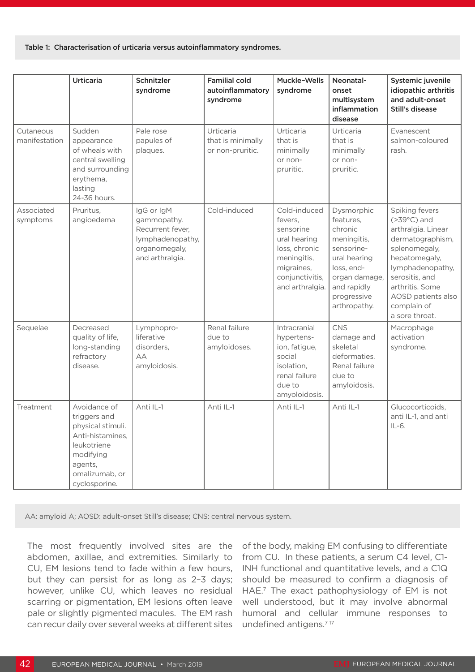#### Table 1: Characterisation of urticaria versus autoinflammatory syndromes.

|                            | <b>Urticaria</b>                                                                                                                                | Schnitzler<br>syndrome                                                                                | <b>Familial cold</b><br>autoinflammatory<br>syndrome | Muckle-Wells<br>syndrome                                                                                                                 | Neonatal-<br>onset<br>multisystem<br>inflammation<br>disease                                                                                                 | Systemic juvenile<br>idiopathic arthritis<br>and adult-onset<br>Still's disease                                                                                                                                                    |
|----------------------------|-------------------------------------------------------------------------------------------------------------------------------------------------|-------------------------------------------------------------------------------------------------------|------------------------------------------------------|------------------------------------------------------------------------------------------------------------------------------------------|--------------------------------------------------------------------------------------------------------------------------------------------------------------|------------------------------------------------------------------------------------------------------------------------------------------------------------------------------------------------------------------------------------|
| Cutaneous<br>manifestation | Sudden<br>appearance<br>of wheals with<br>central swelling<br>and surrounding<br>erythema,<br>lasting<br>24-36 hours.                           | Pale rose<br>papules of<br>plaques.                                                                   | Urticaria<br>that is minimally<br>or non-pruritic.   | Urticaria<br>that is<br>minimally<br>or non-<br>pruritic.                                                                                | Urticaria<br>that is<br>minimally<br>or non-<br>pruritic.                                                                                                    | Evanescent<br>salmon-coloured<br>rash.                                                                                                                                                                                             |
| Associated<br>symptoms     | Pruritus,<br>angioedema                                                                                                                         | IgG or IgM<br>gammopathy.<br>Recurrent fever,<br>lymphadenopathy,<br>organomegaly,<br>and arthralgia. | Cold-induced                                         | Cold-induced<br>fevers,<br>sensorine<br>ural hearing<br>loss, chronic<br>meningitis,<br>migraines,<br>conjunctivitis,<br>and arthralgia. | Dysmorphic<br>features,<br>chronic<br>meningitis,<br>sensorine-<br>ural hearing<br>loss, end-<br>organ damage,<br>and rapidly<br>progressive<br>arthropathy. | Spiking fevers<br>$(>39^{\circ}C)$ and<br>arthralgia. Linear<br>dermatographism,<br>splenomegaly,<br>hepatomegaly,<br>lymphadenopathy,<br>serositis, and<br>arthritis. Some<br>AOSD patients also<br>complain of<br>a sore throat. |
| Sequelae                   | Decreased<br>quality of life,<br>long-standing<br>refractory<br>disease.                                                                        | Lymphopro-<br>liferative<br>disorders,<br>AA<br>amyloidosis.                                          | Renal failure<br>due to<br>amyloidoses.              | Intracranial<br>hypertens-<br>ion, fatigue,<br>social<br>isolation,<br>renal failure<br>due to<br>amyoloidosis.                          | <b>CNS</b><br>damage and<br>skeletal<br>deformaties.<br>Renal failure<br>due to<br>amyloidosis.                                                              | Macrophage<br>activation<br>syndrome.                                                                                                                                                                                              |
| Treatment                  | Avoidance of<br>triggers and<br>physical stimuli.<br>Anti-histamines,<br>leukotriene<br>modifying<br>agents,<br>omalizumab, or<br>cyclosporine. | Anti IL-1                                                                                             | Anti IL-1                                            | Anti IL-1                                                                                                                                | Anti IL-1                                                                                                                                                    | Glucocorticoids,<br>anti IL-1, and anti<br>$IL-6.$                                                                                                                                                                                 |

AA: amyloid A; AOSD: adult-onset Still's disease; CNS: central nervous system.

The most frequently involved sites are the abdomen, axillae, and extremities. Similarly to CU, EM lesions tend to fade within a few hours, but they can persist for as long as 2–3 days; however, unlike CU, which leaves no residual scarring or pigmentation, EM lesions often leave pale or slightly pigmented macules. The EM rash can recur daily over several weeks at different sites

of the body, making EM confusing to differentiate from CU. In these patients, a serum C4 level, C1- INH functional and quantitative levels, and a C1Q should be measured to confirm a diagnosis of HAE.<sup>7</sup> The exact pathophysiology of EM is not well understood, but it may involve abnormal humoral and cellular immune responses to undefined antigens.<sup>7-17</sup>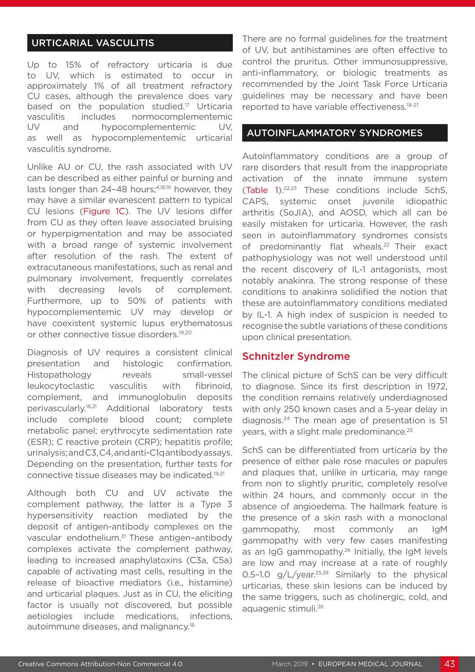# URTICARIAL VASCULITIS

Up to 15% of refractory urticaria is due to UV, which is estimated to occur in approximately 1% of all treatment refractory CU cases, although the prevalence does vary based on the population studied.<sup>17</sup> Urticaria vasculitis includes normocomplementemic UV and hypocomplementemic UV, as well as hypocomplementemic urticarial vasculitis syndrome.

Unlike AU or CU, the rash associated with UV can be described as either painful or burning and lasts longer than 24-48 hours;<sup>4,18,19</sup> however, they may have a similar evanescent pattern to typical CU lesions (Figure 1C). The UV lesions differ from CU as they often leave associated bruising or hyperpigmentation and may be associated with a broad range of systemic involvement after resolution of the rash. The extent of extracutaneous manifestations, such as renal and pulmonary involvement, frequently correlates with decreasing levels of complement. Furthermore, up to 50% of patients with hypocomplementemic UV may develop or have coexistent systemic lupus erythematosus or other connective tissue disorders.<sup>19,20</sup>

Diagnosis of UV requires a consistent clinical presentation and histologic confirmation. Histopathology reveals small-vessel leukocytoclastic vasculitis with fibrinoid, complement, and immunoglobulin deposits perivascularly.18,21 Additional laboratory tests include complete blood count; complete metabolic panel; erythrocyte sedimentation rate (ESR); C reactive protein (CRP); hepatitis profile; urinalysis; and C3, C4, and anti-C1q antibody assays. Depending on the presentation, further tests for connective tissue diseases may be indicated.19,21

Although both CU and UV activate the complement pathway, the latter is a Type 3 hypersensitivity reaction mediated by the deposit of antigen-antibody complexes on the vascular endothelium.21 These antigen–antibody complexes activate the complement pathway, leading to increased anaphylatoxins (C3a, C5a) capable of activating mast cells, resulting in the release of bioactive mediators (i.e., histamine) and urticarial plaques. Just as in CU, the eliciting factor is usually not discovered, but possible aetiologies include medications, infections, autoimmune diseases, and malignancy.18

There are no formal guidelines for the treatment of UV, but antihistamines are often effective to control the pruritus. Other immunosuppressive, anti-inflammatory, or biologic treatments as recommended by the Joint Task Force Urticaria guidelines may be necessary and have been reported to have variable effectiveness.18-21

#### AUTOINFLAMMATORY SYNDROMES

Autoinflammatory conditions are a group of rare disorders that result from the inappropriate activation of the innate immune system (Table 1).22,23 These conditions include SchS, CAPS, systemic onset juvenile idiopathic arthritis (SoJIA), and AOSD, which all can be easily mistaken for urticaria. However, the rash seen in autoinflammatory syndromes consists of predominantly flat wheals.<sup>22</sup> Their exact pathophysiology was not well understood until the recent discovery of IL-1 antagonists, most notably anakinra. The strong response of these conditions to anakinra solidified the notion that these are autoinflammatory conditions mediated by IL-1. A high index of suspicion is needed to recognise the subtle variations of these conditions upon clinical presentation.

#### Schnitzler Syndrome

The clinical picture of SchS can be very difficult to diagnose. Since its first description in 1972, the condition remains relatively underdiagnosed with only 250 known cases and a 5-year delay in diagnosis.24 The mean age of presentation is 51 years, with a slight male predominance.<sup>25</sup>

SchS can be differentiated from urticaria by the presence of either pale rose macules or papules and plaques that, unlike in urticaria, may range from non to slightly pruritic, completely resolve within 24 hours, and commonly occur in the absence of angioedema. The hallmark feature is the presence of a skin rash with a monoclonal gammopathy, most commonly an IgM gammopathy with very few cases manifesting as an IgG gammopathy.<sup>26</sup> Initially, the IgM levels are low and may increase at a rate of roughly 0.5-1.0  $q/L/year^{25,26}$  Similarly to the physical urticarias, these skin lesions can be induced by the same triggers, such as cholinergic, cold, and aquagenic stimuli.26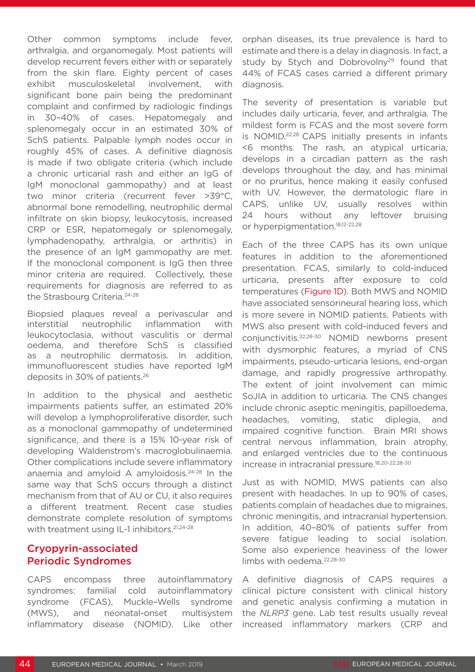Other common symptoms include fever, arthralgia, and organomegaly. Most patients will develop recurrent fevers either with or separately from the skin flare. Eighty percent of cases exhibit musculoskeletal involvement, with significant bone pain being the predominant complaint and confirmed by radiologic findings in 30–40% of cases. Hepatomegaly and splenomegaly occur in an estimated 30% of SchS patients. Palpable lymph nodes occur in roughly 45% of cases. A definitive diagnosis is made if two obligate criteria (which include a chronic urticarial rash and either an IgG of IgM monoclonal gammopathy) and at least two minor criteria (recurrent fever >39°C, abnormal bone remodelling, neutrophilic dermal infiltrate on skin biopsy, leukocytosis, increased CRP or ESR, hepatomegaly or splenomegaly, lymphadenopathy, arthralgia, or arthritis) in the presence of an IgM gammopathy are met. If the monoclonal component is IgG then three minor criteria are required. Collectively, these requirements for diagnosis are referred to as the Strasbourg Criteria.24-28

Biopsied plaques reveal a perivascular and interstitial neutrophilic inflammation with leukocytoclasia, without vasculitis or dermal oedema, and therefore SchS is classified as a neutrophilic dermatosis. In addition, immunofluorescent studies have reported IgM deposits in 30% of patients.26

In addition to the physical and aesthetic impairments patients suffer, an estimated 20% will develop a lymphoproliferative disorder, such as a monoclonal gammopathy of undetermined significance, and there is a 15% 10-year risk of developing Waldenstrom's macroglobulinaemia. Other complications include severe inflammatory anaemia and amyloid A amyloidosis.24-28 In the same way that SchS occurs through a distinct mechanism from that of AU or CU, it also requires a different treatment. Recent case studies demonstrate complete resolution of symptoms with treatment using IL-1 inhibitors.<sup>21,24-28</sup>

# Cryopyrin-associated Periodic Syndromes

CAPS encompass three autoinflammatory syndromes: familial cold autoinflammatory syndrome (FCAS), Muckle–Wells syndrome (MWS), and neonatal-onset multisystem inflammatory disease (NOMID). Like other orphan diseases, its true prevalence is hard to estimate and there is a delay in diagnosis. In fact, a study by Stych and Dobrovolny<sup>29</sup> found that 44% of FCAS cases carried a different primary diagnosis.

The severity of presentation is variable but includes daily urticaria, fever, and arthralgia. The mildest form is FCAS and the most severe form is NOMID.22,28 CAPS initially presents in infants <6 months. The rash, an atypical urticaria, develops in a circadian pattern as the rash develops throughout the day, and has minimal or no pruritus, hence making it easily confused with UV. However, the dermatologic flare in CAPS, unlike UV, usually resolves within 24 hours without any leftover bruising or hyperpigmentation.<sup>18,12-22,28</sup>

Each of the three CAPS has its own unique features in addition to the aforementioned presentation. FCAS, similarly to cold-induced urticaria, presents after exposure to cold temperatures (Figure 1D). Both MWS and NOMID have associated sensorineural hearing loss, which is more severe in NOMID patients. Patients with MWS also present with cold-induced fevers and conjunctivitis.22,28-30 NOMID newborns present with dysmorphic features, a myriad of CNS impairments, pseudo-urticaria lesions, end-organ damage, and rapidly progressive arthropathy. The extent of joint involvement can mimic SoJIA in addition to urticaria. The CNS changes include chronic aseptic meningitis, papilloedema, headaches, vomiting, static diplegia, and impaired cognitive function. Brain MRI shows central nervous inflammation, brain atrophy, and enlarged ventricles due to the continuous increase in intracranial pressure.<sup>18,20-22,28-30</sup>

Just as with NOMID, MWS patients can also present with headaches. In up to 90% of cases, patients complain of headaches due to migraines, chronic meningitis, and intracranial hypertension. In addition, 40–80% of patients suffer from severe fatigue leading to social isolation. Some also experience heaviness of the lower limbs with oedema.<sup>22,28-30</sup>

A definitive diagnosis of CAPS requires a clinical picture consistent with clinical history and genetic analysis confirming a mutation in the *NLRP3* gene. Lab test results usually reveal increased inflammatory markers (CRP and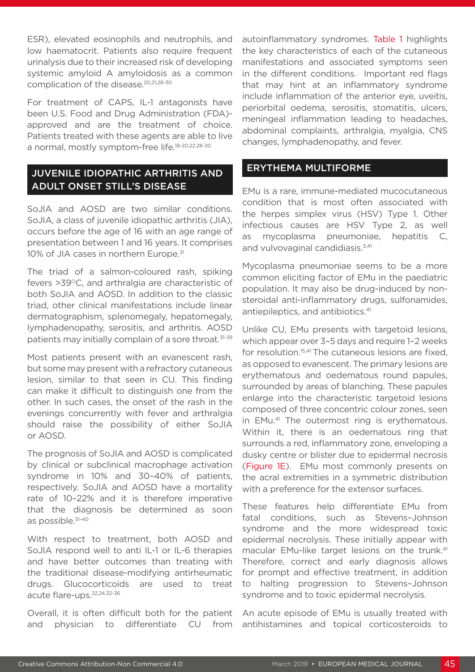ESR), elevated eosinophils and neutrophils, and low haematocrit. Patients also require frequent urinalysis due to their increased risk of developing systemic amyloid A amyloidosis as a common complication of the disease.<sup>20,21,28-30</sup>

For treatment of CAPS, IL-1 antagonists have been U.S. Food and Drug Administration (FDA) approved and are the treatment of choice. Patients treated with these agents are able to live a normal, mostly symptom-free life.18-20,22,28-30

# JUVENILE IDIOPATHIC ARTHRITIS AND ADULT ONSET STILL'S DISEASE

SoJIA and AOSD are two similar conditions. SoJIA, a class of juvenile idiopathic arthritis (JIA), occurs before the age of 16 with an age range of presentation between 1 and 16 years. It comprises 10% of JIA cases in northern Europe.<sup>31</sup>

The triad of a salmon-coloured rash, spiking fevers >39°C, and arthralgia are characteristic of both SoJIA and AOSD. In addition to the classic triad, other clinical manifestations include linear dermatographism, splenomegaly, hepatomegaly, lymphadenopathy, serositis, and arthritis. AOSD patients may initially complain of a sore throat.<sup>31-39</sup>

Most patients present with an evanescent rash, but some may present with a refractory cutaneous lesion, similar to that seen in CU. This finding can make it difficult to distinguish one from the other. In such cases, the onset of the rash in the evenings concurrently with fever and arthralgia should raise the possibility of either SoJIA or AOSD.

The prognosis of SoJIA and AOSD is complicated by clinical or subclinical macrophage activation syndrome in 10% and 30–40% of patients, respectively. SoJIA and AOSD have a mortality rate of 10–22% and it is therefore imperative that the diagnosis be determined as soon as possible.<sup>31-40</sup>

With respect to treatment, both AOSD and SoJIA respond well to anti IL-1 or IL-6 therapies and have better outcomes than treating with the traditional disease-modifying antirheumatic drugs. Glucocorticoids are used to treat acute flare-ups.22,24,32-36

Overall, it is often difficult both for the patient and physician to differentiate CU from autoinflammatory syndromes. Table 1 highlights the key characteristics of each of the cutaneous manifestations and associated symptoms seen in the different conditions. Important red flags that may hint at an inflammatory syndrome include inflammation of the anterior eye, uveitis, periorbital oedema, serositis, stomatitis, ulcers, meningeal inflammation leading to headaches, abdominal complaints, arthralgia, myalgia, CNS changes, lymphadenopathy, and fever.

## ERYTHEMA MULTIFORME

EMu is a rare, immune-mediated mucocutaneous condition that is most often associated with the herpes simplex virus (HSV) Type 1. Other infectious causes are HSV Type 2, as well as mycoplasma pneumoniae, hepatitis C, and vulvovaginal candidiasis.<sup>3,41</sup>

Mycoplasma pneumoniae seems to be a more common eliciting factor of EMu in the paediatric population. It may also be drug-induced by nonsteroidal anti-inflammatory drugs, sulfonamides, antiepileptics, and antibiotics.<sup>41</sup>

Unlike CU, EMu presents with targetoid lesions, which appear over 3–5 days and require 1–2 weeks for resolution.<sup>15,41</sup> The cutaneous lesions are fixed, as opposed to evanescent. The primary lesions are erythematous and oedematous round papules, surrounded by areas of blanching. These papules enlarge into the characteristic targetoid lesions composed of three concentric colour zones, seen in EMu.<sup>41</sup> The outermost ring is erythematous. Within it, there is an oedematous ring that surrounds a red, inflammatory zone, enveloping a dusky centre or blister due to epidermal necrosis (Figure 1E). EMu most commonly presents on the acral extremities in a symmetric distribution with a preference for the extensor surfaces.

These features help differentiate EMu from fatal conditions, such as Stevens–Johnson syndrome and the more widespread toxic epidermal necrolysis. These initially appear with macular EMu-like target lesions on the trunk.<sup>41</sup> Therefore, correct and early diagnosis allows for prompt and effective treatment, in addition to halting progression to Stevens–Johnson syndrome and to toxic epidermal necrolysis.

An acute episode of EMu is usually treated with antihistamines and topical corticosteroids to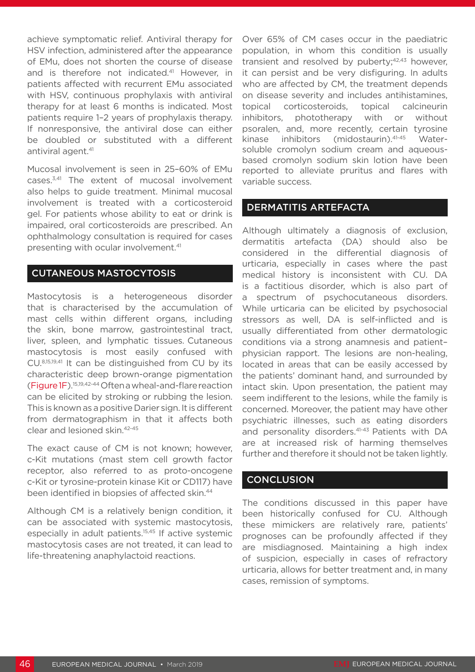achieve symptomatic relief. Antiviral therapy for HSV infection, administered after the appearance of EMu, does not shorten the course of disease and is therefore not indicated.<sup>41</sup> However, in patients affected with recurrent EMu associated with HSV, continuous prophylaxis with antiviral therapy for at least 6 months is indicated. Most patients require 1–2 years of prophylaxis therapy. If nonresponsive, the antiviral dose can either be doubled or substituted with a different antiviral agent.<sup>41</sup>

Mucosal involvement is seen in 25–60% of EMu cases.3,41 The extent of mucosal involvement also helps to guide treatment. Minimal mucosal involvement is treated with a corticosteroid gel. For patients whose ability to eat or drink is impaired, oral corticosteroids are prescribed. An ophthalmology consultation is required for cases presenting with ocular involvement.41

#### CUTANEOUS MASTOCYTOSIS

Mastocytosis is a heterogeneous disorder that is characterised by the accumulation of mast cells within different organs, including the skin, bone marrow, gastrointestinal tract, liver, spleen, and lymphatic tissues. Cutaneous mastocytosis is most easily confused with CU.8,15,19,41 It can be distinguished from CU by its characteristic deep brown-orange pigmentation (Figure 1F).15,19,42-44 Often a wheal-and-flare reaction can be elicited by stroking or rubbing the lesion. This is known as a positive Darier sign. It is different from dermatographism in that it affects both clear and lesioned skin.42-45

The exact cause of CM is not known; however, c-Kit mutations (mast stem cell growth factor receptor, also referred to as proto-oncogene c-Kit or tyrosine-protein kinase Kit or CD117) have been identified in biopsies of affected skin.44

Although CM is a relatively benign condition, it can be associated with systemic mastocytosis, especially in adult patients.15,45 If active systemic mastocytosis cases are not treated, it can lead to life-threatening anaphylactoid reactions.

Over 65% of CM cases occur in the paediatric population, in whom this condition is usually transient and resolved by puberty; $42,43$  however, it can persist and be very disfiguring. In adults who are affected by CM, the treatment depends on disease severity and includes antihistamines, topical corticosteroids, topical calcineurin inhibitors, phototherapy with or without psoralen, and, more recently, certain tyrosine kinase inhibitors (midostaurin).<sup>41-45</sup> Watersoluble cromolyn sodium cream and aqueousbased cromolyn sodium skin lotion have been reported to alleviate pruritus and flares with variable success.

### DERMATITIS ARTEFACTA

Although ultimately a diagnosis of exclusion, dermatitis artefacta (DA) should also be considered in the differential diagnosis of urticaria, especially in cases where the past medical history is inconsistent with CU. DA is a factitious disorder, which is also part of a spectrum of psychocutaneous disorders. While urticaria can be elicited by psychosocial stressors as well, DA is self-inflicted and is usually differentiated from other dermatologic conditions via a strong anamnesis and patient– physician rapport. The lesions are non-healing, located in areas that can be easily accessed by the patients' dominant hand, and surrounded by intact skin. Upon presentation, the patient may seem indifferent to the lesions, while the family is concerned. Moreover, the patient may have other psychiatric illnesses, such as eating disorders and personality disorders.<sup>41-43</sup> Patients with DA are at increased risk of harming themselves further and therefore it should not be taken lightly.

#### **CONCLUSION**

The conditions discussed in this paper have been historically confused for CU. Although these mimickers are relatively rare, patients' prognoses can be profoundly affected if they are misdiagnosed. Maintaining a high index of suspicion, especially in cases of refractory urticaria, allows for better treatment and, in many cases, remission of symptoms.